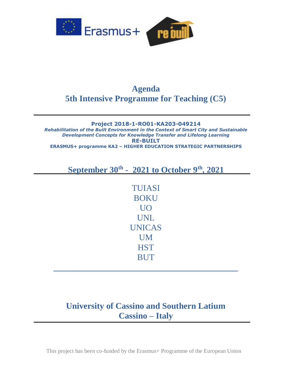

## **Agenda 5th Intensive Programme for Teaching (C5)**

## **Project 2018-1-RO01-KA203-049214** *Rehabilitation of the Built Environment in the Context of Smart City and Sustainable Development Concepts for Knowledge Transfer and Lifelong Learning* **RE-BUILT ERASMUS+ programme KA2 – HIGHER EDUCATION STRATEGIC PARTNERSHIPS**

**September 30th - 2021 to October 9th, 2021**

TUIASI BOKU UO UNL UNICAS UM **HST** BUT

## **University of Cassino and Southern Latium Cassino – Italy**

**\_\_\_\_\_\_\_\_\_\_\_\_\_\_\_\_\_\_\_\_\_\_\_\_\_\_\_\_\_\_\_\_\_\_\_\_\_\_\_\_\_\_\_**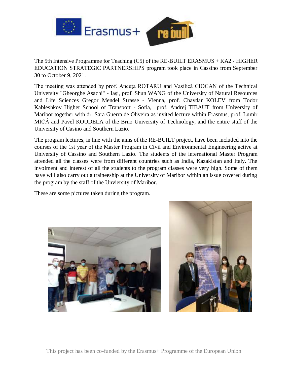

The 5th Intensive Programme for Teaching (C5) of the RE-BUILT ERASMUS + KA2 - HIGHER EDUCATION STRATEGIC PARTNERSHIPS program took place in Cassino from September 30 to October 9, 2021.

The meeting was attended by prof. Ancuța ROTARU and Vasilică CIOCAN of the Technical University "Gheorghe Asachi" - Iași, prof. Shun WANG of the University of Natural Resources and Life Sciences Gregor Mendel Strasse - Vienna, prof. Chavdar KOLEV from Todor Kableshkov Higher School of Transport - Sofia, prof. Andrej TIBAUT from University of Maribor together with dr. Sara Guerra de Oliveira as invited lecture within Erasmus, prof. Lumir MICÁ and Pavel KOUDELA of the Brno University of Technology, and the entire staff of the University of Casino and Southern Lazio.

The program lectures, in line with the aims of the RE-BUILT project, have been included into the courses of the 1st year of the Master Program in Civil and Environmental Engineering active at University of Cassino and Southern Lazio. The students of the international Master Program attended all the classes were from different countries such as India, Kazakistan and Italy. The involment and interest of all the students to the program classes were very high. Some of them have will also carry out a traineeship at the University of Maribor within an issue covered during the program by the staff of the Unviersity of Maribor.

These are some pictures taken during the program.





This project has been co-funded by the Erasmus+ Programme of the European Union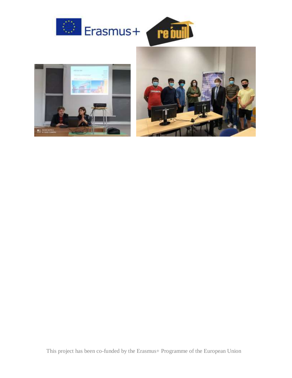